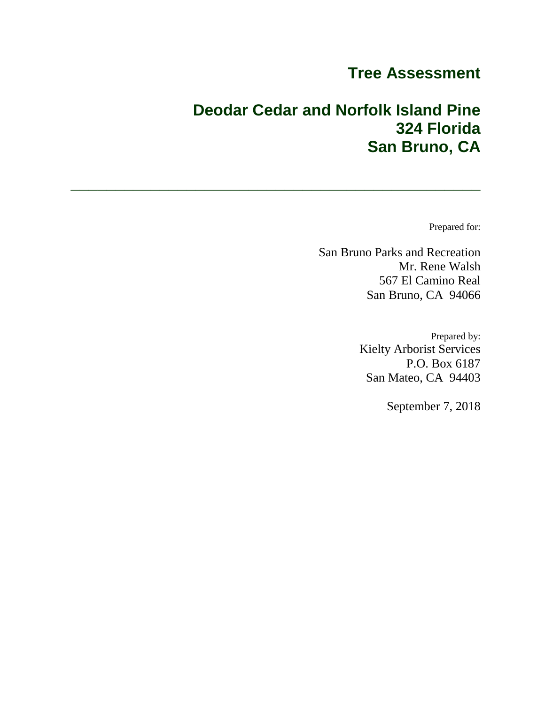# **Tree Assessment**

# **Deodar Cedar and Norfolk Island Pine 324 Florida San Bruno, CA**

**\_\_\_\_\_\_\_\_\_\_\_\_\_\_\_\_\_\_\_\_\_\_\_\_\_\_\_\_\_\_\_\_\_\_\_\_\_\_\_\_\_\_\_\_\_\_**

Prepared for:

San Bruno Parks and Recreation Mr. Rene Walsh 567 El Camino Real San Bruno, CA 94066

> Prepared by: Kielty Arborist Services P.O. Box 6187 San Mateo, CA 94403

> > September 7, 2018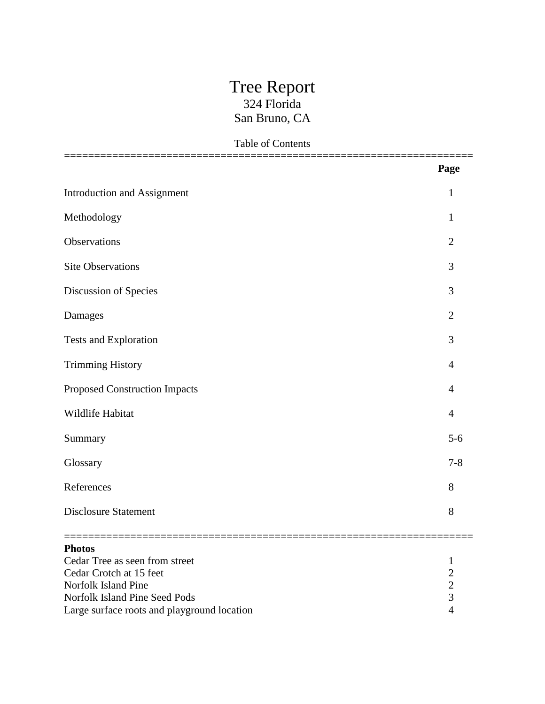## Tree Report 324 Florida San Bruno, CA

|  | <b>Table of Contents</b> |
|--|--------------------------|
|  |                          |

|                                             | Page           |
|---------------------------------------------|----------------|
| <b>Introduction and Assignment</b>          | $\mathbf{1}$   |
| Methodology                                 | $\mathbf{1}$   |
| Observations                                | $\overline{2}$ |
| <b>Site Observations</b>                    | 3              |
| Discussion of Species                       | 3              |
| Damages                                     | $\overline{2}$ |
| <b>Tests and Exploration</b>                | 3              |
| <b>Trimming History</b>                     | $\overline{4}$ |
| <b>Proposed Construction Impacts</b>        | 4              |
| Wildlife Habitat                            | $\overline{4}$ |
| Summary                                     | $5-6$          |
| Glossary                                    | $7 - 8$        |
| References                                  | 8              |
| <b>Disclosure Statement</b>                 | 8              |
| <b>Photos</b>                               |                |
| Cedar Tree as seen from street              |                |
| Cedar Crotch at 15 feet                     |                |
| Norfolk Island Pine                         |                |
| Norfolk Island Pine Seed Pods               |                |
| Large surface roots and playground location |                |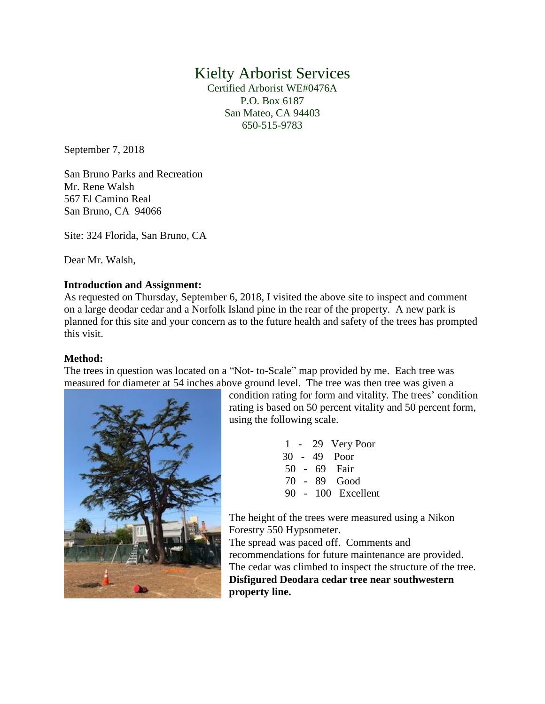## Kielty Arborist Services

Certified Arborist WE#0476A P.O. Box 6187 San Mateo, CA 94403 650-515-9783

September 7, 2018

San Bruno Parks and Recreation Mr. Rene Walsh 567 El Camino Real San Bruno, CA 94066

Site: 324 Florida, San Bruno, CA

Dear Mr. Walsh,

#### **Introduction and Assignment:**

As requested on Thursday, September 6, 2018, I visited the above site to inspect and comment on a large deodar cedar and a Norfolk Island pine in the rear of the property. A new park is planned for this site and your concern as to the future health and safety of the trees has prompted this visit.

#### **Method:**

The trees in question was located on a "Not- to-Scale" map provided by me. Each tree was measured for diameter at 54 inches above ground level. The tree was then tree was given a



condition rating for form and vitality. The trees' condition rating is based on 50 percent vitality and 50 percent form, using the following scale.

> 1 - 29 Very Poor 30 - 49 Poor 50 - 69 Fair 70 - 89 Good 90 - 100 Excellent

The height of the trees were measured using a Nikon Forestry 550 Hypsometer.

The spread was paced off. Comments and recommendations for future maintenance are provided. The cedar was climbed to inspect the structure of the tree. **Disfigured Deodara cedar tree near southwestern property line.**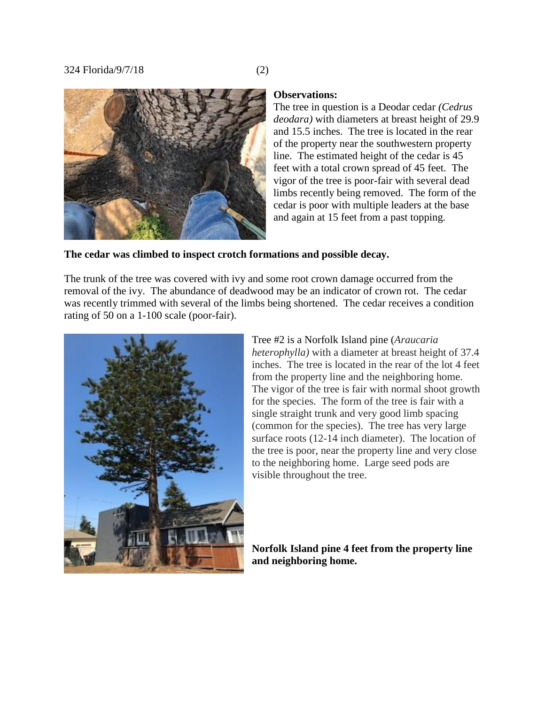

#### **Observations:**

The tree in question is a Deodar cedar *(Cedrus deodara)* with diameters at breast height of 29.9 and 15.5 inches. The tree is located in the rear of the property near the southwestern property line. The estimated height of the cedar is 45 feet with a total crown spread of 45 feet. The vigor of the tree is poor-fair with several dead limbs recently being removed. The form of the cedar is poor with multiple leaders at the base and again at 15 feet from a past topping.

#### **The cedar was climbed to inspect crotch formations and possible decay.**

The trunk of the tree was covered with ivy and some root crown damage occurred from the removal of the ivy. The abundance of deadwood may be an indicator of crown rot. The cedar was recently trimmed with several of the limbs being shortened. The cedar receives a condition rating of 50 on a 1-100 scale (poor-fair).



Tree #2 is a Norfolk Island pine (*Araucaria heterophylla)* with a diameter at breast height of 37.4 inches. The tree is located in the rear of the lot 4 feet from the property line and the neighboring home. The vigor of the tree is fair with normal shoot growth for the species. The form of the tree is fair with a single straight trunk and very good limb spacing (common for the species). The tree has very large surface roots (12-14 inch diameter). The location of the tree is poor, near the property line and very close to the neighboring home. Large seed pods are visible throughout the tree.

#### **Norfolk Island pine 4 feet from the property line and neighboring home.**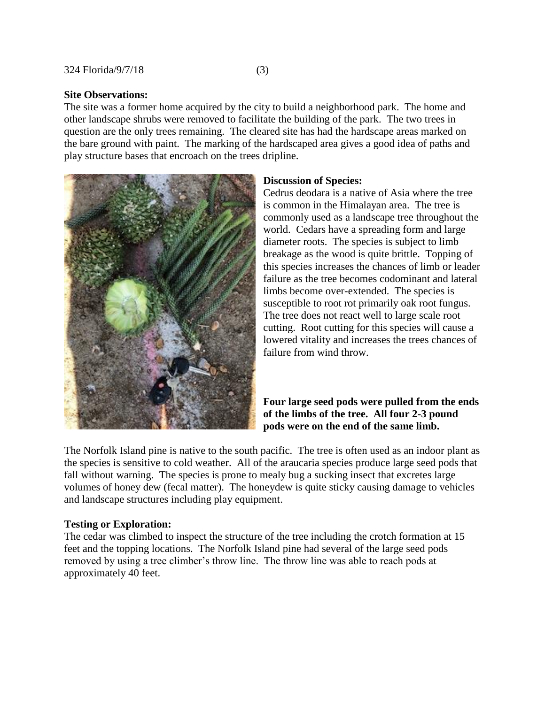#### **Site Observations:**

The site was a former home acquired by the city to build a neighborhood park. The home and other landscape shrubs were removed to facilitate the building of the park. The two trees in question are the only trees remaining. The cleared site has had the hardscape areas marked on the bare ground with paint. The marking of the hardscaped area gives a good idea of paths and play structure bases that encroach on the trees dripline.



#### **Discussion of Species:**

Cedrus deodara is a native of Asia where the tree is common in the Himalayan area. The tree is commonly used as a landscape tree throughout the world. Cedars have a spreading form and large diameter roots. The species is subject to limb breakage as the wood is quite brittle. Topping of this species increases the chances of limb or leader failure as the tree becomes codominant and lateral limbs become over-extended. The species is susceptible to root rot primarily oak root fungus. The tree does not react well to large scale root cutting. Root cutting for this species will cause a lowered vitality and increases the trees chances of failure from wind throw.

#### **Four large seed pods were pulled from the ends of the limbs of the tree. All four 2-3 pound pods were on the end of the same limb.**

The Norfolk Island pine is native to the south pacific. The tree is often used as an indoor plant as the species is sensitive to cold weather. All of the araucaria species produce large seed pods that fall without warning. The species is prone to mealy bug a sucking insect that excretes large volumes of honey dew (fecal matter). The honeydew is quite sticky causing damage to vehicles and landscape structures including play equipment.

#### **Testing or Exploration:**

The cedar was climbed to inspect the structure of the tree including the crotch formation at 15 feet and the topping locations. The Norfolk Island pine had several of the large seed pods removed by using a tree climber's throw line. The throw line was able to reach pods at approximately 40 feet.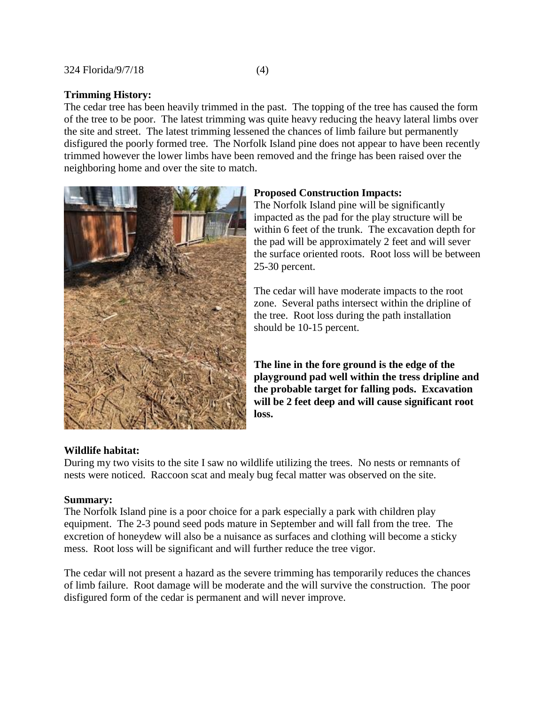#### **Trimming History:**

The cedar tree has been heavily trimmed in the past. The topping of the tree has caused the form of the tree to be poor. The latest trimming was quite heavy reducing the heavy lateral limbs over the site and street. The latest trimming lessened the chances of limb failure but permanently disfigured the poorly formed tree. The Norfolk Island pine does not appear to have been recently trimmed however the lower limbs have been removed and the fringe has been raised over the neighboring home and over the site to match.



#### **Proposed Construction Impacts:**

The Norfolk Island pine will be significantly impacted as the pad for the play structure will be within 6 feet of the trunk. The excavation depth for the pad will be approximately 2 feet and will sever the surface oriented roots. Root loss will be between 25-30 percent.

The cedar will have moderate impacts to the root zone. Several paths intersect within the dripline of the tree. Root loss during the path installation should be 10-15 percent.

**The line in the fore ground is the edge of the playground pad well within the tress dripline and the probable target for falling pods. Excavation will be 2 feet deep and will cause significant root loss.**

#### **Wildlife habitat:**

During my two visits to the site I saw no wildlife utilizing the trees. No nests or remnants of nests were noticed. Raccoon scat and mealy bug fecal matter was observed on the site.

#### **Summary:**

The Norfolk Island pine is a poor choice for a park especially a park with children play equipment. The 2-3 pound seed pods mature in September and will fall from the tree. The excretion of honeydew will also be a nuisance as surfaces and clothing will become a sticky mess. Root loss will be significant and will further reduce the tree vigor.

The cedar will not present a hazard as the severe trimming has temporarily reduces the chances of limb failure. Root damage will be moderate and the will survive the construction. The poor disfigured form of the cedar is permanent and will never improve.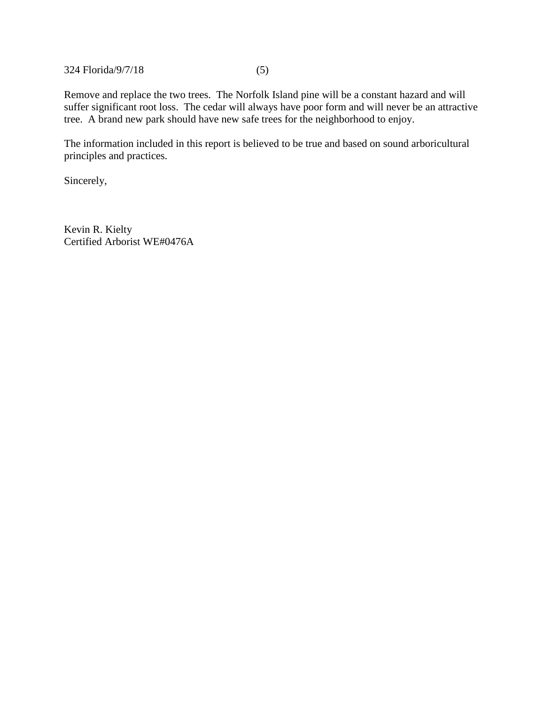324 Florida/9/7/18 (5)

Remove and replace the two trees. The Norfolk Island pine will be a constant hazard and will suffer significant root loss. The cedar will always have poor form and will never be an attractive tree. A brand new park should have new safe trees for the neighborhood to enjoy.

The information included in this report is believed to be true and based on sound arboricultural principles and practices.

Sincerely,

Kevin R. Kielty Certified Arborist WE#0476A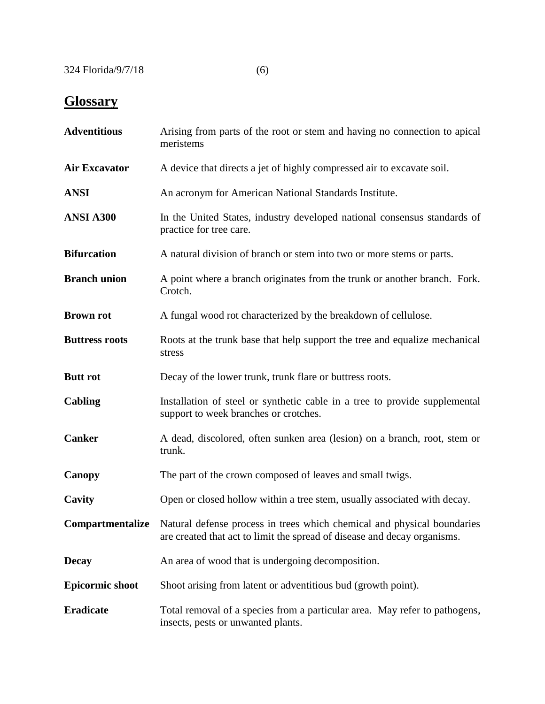# **Glossary**

| <b>Adventitious</b>    | Arising from parts of the root or stem and having no connection to apical<br>meristems                                                                                      |
|------------------------|-----------------------------------------------------------------------------------------------------------------------------------------------------------------------------|
| <b>Air Excavator</b>   | A device that directs a jet of highly compressed air to excavate soil.                                                                                                      |
| <b>ANSI</b>            | An acronym for American National Standards Institute.                                                                                                                       |
| ANSI A300              | In the United States, industry developed national consensus standards of<br>practice for tree care.                                                                         |
| <b>Bifurcation</b>     | A natural division of branch or stem into two or more stems or parts.                                                                                                       |
| <b>Branch union</b>    | A point where a branch originates from the trunk or another branch. Fork.<br>Crotch.                                                                                        |
| <b>Brown rot</b>       | A fungal wood rot characterized by the breakdown of cellulose.                                                                                                              |
| <b>Buttress roots</b>  | Roots at the trunk base that help support the tree and equalize mechanical<br>stress                                                                                        |
| <b>Butt</b> rot        | Decay of the lower trunk, trunk flare or buttress roots.                                                                                                                    |
| Cabling                | Installation of steel or synthetic cable in a tree to provide supplemental<br>support to week branches or crotches.                                                         |
| <b>Canker</b>          | A dead, discolored, often sunken area (lesion) on a branch, root, stem or<br>trunk.                                                                                         |
| Canopy                 | The part of the crown composed of leaves and small twigs.                                                                                                                   |
| Cavity                 | Open or closed hollow within a tree stem, usually associated with decay.                                                                                                    |
|                        | <b>Compartmentalize</b> Natural defense process in trees which chemical and physical boundaries<br>are created that act to limit the spread of disease and decay organisms. |
| <b>Decay</b>           | An area of wood that is undergoing decomposition.                                                                                                                           |
| <b>Epicormic shoot</b> | Shoot arising from latent or adventitious bud (growth point).                                                                                                               |
| <b>Eradicate</b>       | Total removal of a species from a particular area. May refer to pathogens,<br>insects, pests or unwanted plants.                                                            |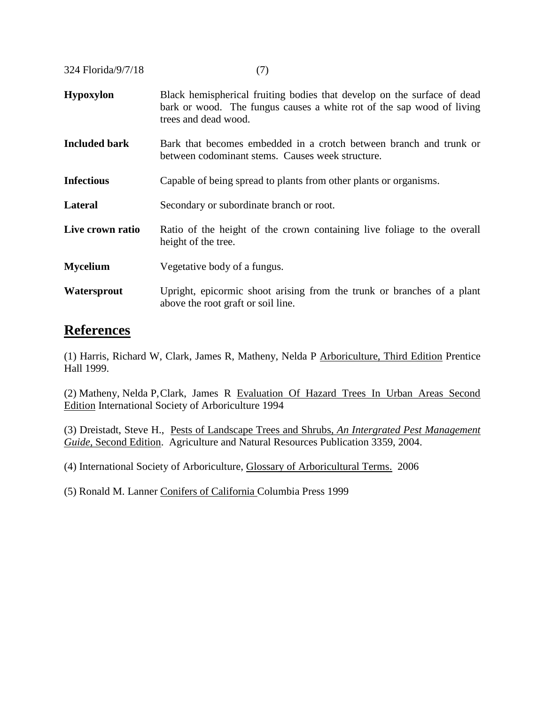324 Florida/9/7/18 (7)

- **Hypoxylon** Black hemispherical fruiting bodies that develop on the surface of dead bark or wood. The fungus causes a white rot of the sap wood of living trees and dead wood.
- **Included bark** Bark that becomes embedded in a crotch between branch and trunk or between codominant stems. Causes week structure.
- **Infectious** Capable of being spread to plants from other plants or organisms.
- **Lateral** Secondary or subordinate branch or root.
- Live crown ratio Ratio of the height of the crown containing live foliage to the overall height of the tree.
- **Mycelium** Vegetative body of a fungus.
- **Watersprout** Upright, epicormic shoot arising from the trunk or branches of a plant above the root graft or soil line.

### **References**

(1) Harris, Richard W, Clark, James R, Matheny, Nelda P Arboriculture, Third Edition Prentice Hall 1999.

(2) Matheny, Nelda P,Clark, James R Evaluation Of Hazard Trees In Urban Areas Second Edition International Society of Arboriculture 1994

(3) Dreistadt, Steve H., Pests of Landscape Trees and Shrubs, *An Intergrated Pest Management Guide,* Second Edition. Agriculture and Natural Resources Publication 3359, 2004.

(4) International Society of Arboriculture, Glossary of Arboricultural Terms. 2006

(5) Ronald M. Lanner Conifers of California Columbia Press 1999